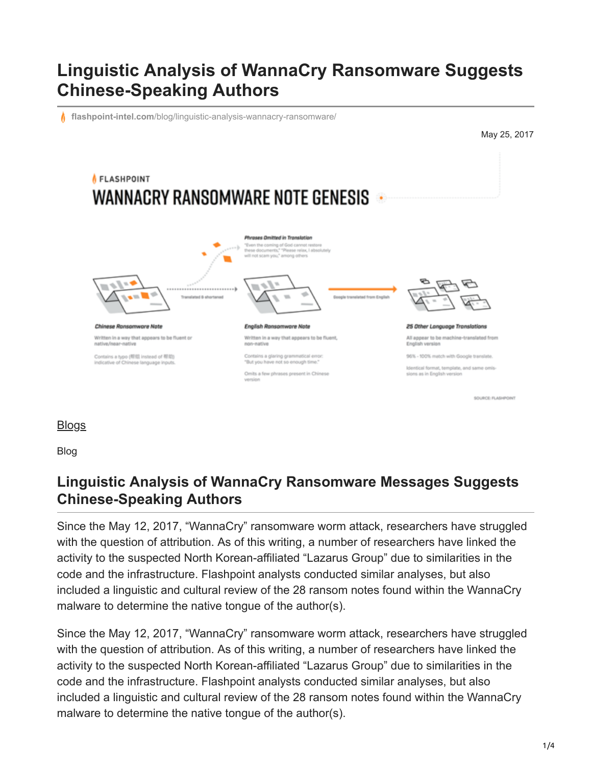# **Linguistic Analysis of WannaCry Ransomware Suggests Chinese-Speaking Authors**

**flashpoint-intel.com**[/blog/linguistic-analysis-wannacry-ransomware/](https://www.flashpoint-intel.com/blog/linguistic-analysis-wannacry-ransomware/)

May 25, 2017



## **[Blogs](https://www.flashpoint-intel.com/blog)**

Blog

### **Linguistic Analysis of WannaCry Ransomware Messages Suggests Chinese-Speaking Authors**

Since the May 12, 2017, "WannaCry" ransomware worm attack, researchers have struggled with the question of attribution. As of this writing, a number of researchers have linked the activity to the suspected North Korean-affiliated "Lazarus Group" due to similarities in the code and the infrastructure. Flashpoint analysts conducted similar analyses, but also included a linguistic and cultural review of the 28 ransom notes found within the WannaCry malware to determine the native tongue of the author(s).

Since the May 12, 2017, "WannaCry" ransomware worm attack, researchers have struggled with the question of attribution. As of this writing, a number of researchers have linked the activity to the suspected North Korean-affiliated "Lazarus Group" due to similarities in the code and the infrastructure. Flashpoint analysts conducted similar analyses, but also included a linguistic and cultural review of the 28 ransom notes found within the WannaCry malware to determine the native tongue of the author(s).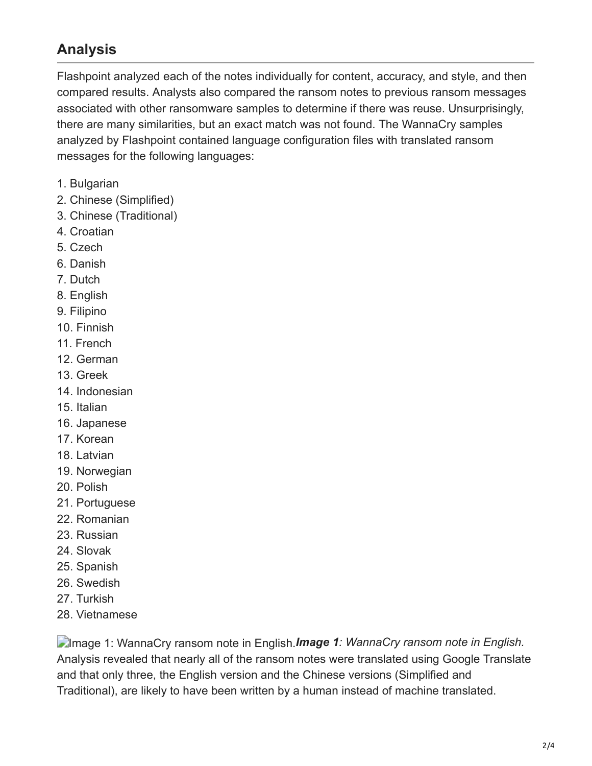### **Analysis**

Flashpoint analyzed each of the notes individually for content, accuracy, and style, and then compared results. Analysts also compared the ransom notes to previous ransom messages associated with other ransomware samples to determine if there was reuse. Unsurprisingly, there are many similarities, but an exact match was not found. The WannaCry samples analyzed by Flashpoint contained language configuration files with translated ransom messages for the following languages:

- 1. Bulgarian
- 2. Chinese (Simplified)
- 3. Chinese (Traditional)
- 4. Croatian
- 5. Czech
- 6. Danish
- 7. Dutch
- 8. English
- 9. Filipino
- 10. Finnish
- 11. French
- 12. German
- 13. Greek
- 14. Indonesian
- 15. Italian
- 16. Japanese
- 17. Korean
- 18. Latvian
- 19. Norwegian
- 20. Polish
- 21. Portuguese
- 22. Romanian
- 23. Russian
- 24. Slovak
- 25. Spanish
- 26. Swedish
- 27. Turkish
- 28. Vietnamese

Image 1: WannaCry ransom note in English.*Image 1: WannaCry ransom note in English.* Analysis revealed that nearly all of the ransom notes were translated using Google Translate and that only three, the English version and the Chinese versions (Simplified and Traditional), are likely to have been written by a human instead of machine translated.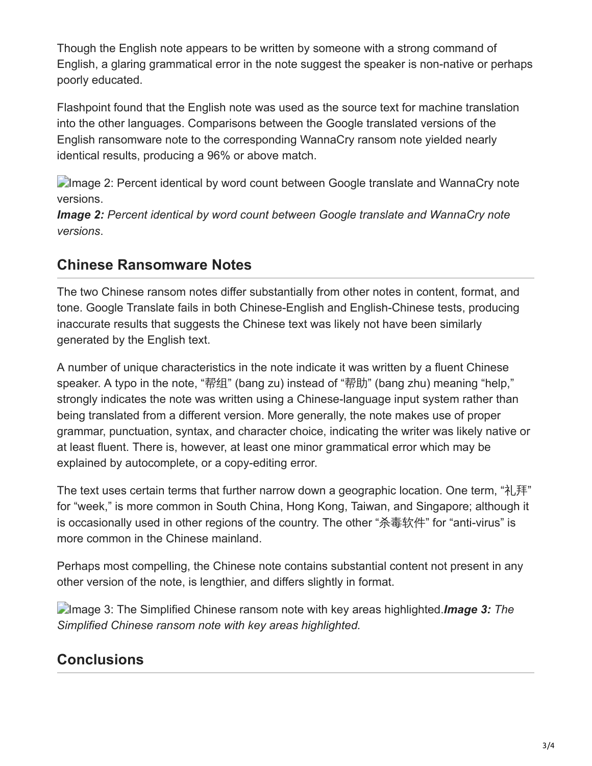Though the English note appears to be written by someone with a strong command of English, a glaring grammatical error in the note suggest the speaker is non-native or perhaps poorly educated.

Flashpoint found that the English note was used as the source text for machine translation into the other languages. Comparisons between the Google translated versions of the English ransomware note to the corresponding WannaCry ransom note yielded nearly identical results, producing a 96% or above match.

**Image 2: Percent identical by word count between Google translate and WannaCry note** versions.

*Image 2: Percent identical by word count between Google translate and WannaCry note versions*.

#### **Chinese Ransomware Notes**

The two Chinese ransom notes differ substantially from other notes in content, format, and tone. Google Translate fails in both Chinese-English and English-Chinese tests, producing inaccurate results that suggests the Chinese text was likely not have been similarly generated by the English text.

A number of unique characteristics in the note indicate it was written by a fluent Chinese speaker. A typo in the note, "帮组" (bang zu) instead of "帮助" (bang zhu) meaning "help," strongly indicates the note was written using a Chinese-language input system rather than being translated from a different version. More generally, the note makes use of proper grammar, punctuation, syntax, and character choice, indicating the writer was likely native or at least fluent. There is, however, at least one minor grammatical error which may be explained by autocomplete, or a copy-editing error.

The text uses certain terms that further narrow down a geographic location. One term, "礼拜" for "week," is more common in South China, Hong Kong, Taiwan, and Singapore; although it is occasionally used in other regions of the country. The other "杀毒软件" for "anti-virus" is more common in the Chinese mainland.

Perhaps most compelling, the Chinese note contains substantial content not present in any other version of the note, is lengthier, and differs slightly in format.

Image 3: The Simplified Chinese ransom note with key areas highlighted.*Image 3: The Simplified Chinese ransom note with key areas highlighted.*

### **Conclusions**